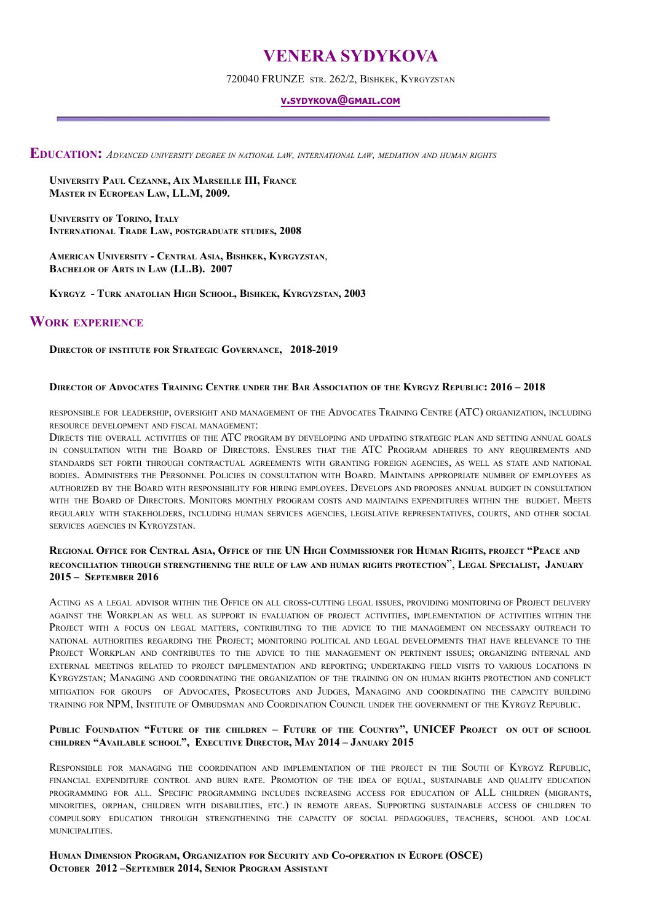# **VENERA SYDYKOVA**

720040 FRUNZE STR. 262/2, BISHKEK, KYRGYZSTAN

#### **V.SYDYKOVA@GMAIL.COM**

**EDUCATION:** *ADVANCED UNIVERSITY DEGREE IN NATIONAL LAW, INTERNATIONAL LAW, MEDIATION AND HUMAN RIGHTS*

**UNIVERSITY PAUL CEZANNE, AIX MARSEILLE III, FRANCE MASTER IN EUROPEAN LAW, LL.M, 2009.**

**UNIVERSITY OF TORINO, ITALY INTERNATIONAL TRADE LAW, POSTGRADUATE STUDIES, 2008**

**AMERICAN UNIVERSITY - CENTRAL ASIA, BISHKEK, KYRGYZSTAN**, **BACHELOR OF ARTS IN LAW (LL.B). 2007**

**KYRGYZ - TURK ANATOLIAN HIGH SCHOOL, BISHKEK, KYRGYZSTAN, 2003**

## **WORK EXPERIENCE**

**DIRECTOR OF INSTITUTE FOR STRATEGIC GOVERNANCE, 2018-2019**

#### **DIRECTOR OF ADVOCATES TRAINING CENTRE UNDER THE BAR ASSOCIATION OF THE KYRGYZ REPUBLIC: 2016 – 2018**

RESPONSIBLE FOR LEADERSHIP, OVERSIGHT AND MANAGEMENT OF THE ADVOCATES TRAINING CENTRE (ATC) ORGANIZATION, INCLUDING RESOURCE DEVELOPMENT AND FISCAL MANAGEMENT:

DIRECTS THE OVERALL ACTIVITIES OF THE ATC PROGRAM BY DEVELOPING AND UPDATING STRATEGIC PLAN AND SETTING ANNUAL GOALS IN CONSULTATION WITH THE BOARD OF DIRECTORS. ENSURES THAT THE ATC PROGRAM ADHERES TO ANY REQUIREMENTS AND STANDARDS SET FORTH THROUGH CONTRACTUAL AGREEMENTS WITH GRANTING FOREIGN AGENCIES, AS WELL AS STATE AND NATIONAL BODIES. ADMINISTERS THE PERSONNEL POLICIES IN CONSULTATION WITH BOARD. MAINTAINS APPROPRIATE NUMBER OF EMPLOYEES AS AUTHORIZED BY THE BOARD WITH RESPONSIBILITY FOR HIRING EMPLOYEES. DEVELOPS AND PROPOSES ANNUAL BUDGET IN CONSULTATION WITH THE BOARD OF DIRECTORS. MONITORS MONTHLY PROGRAM COSTS AND MAINTAINS EXPENDITURES WITHIN THE BUDGET. MEETS REGULARLY WITH STAKEHOLDERS, INCLUDING HUMAN SERVICES AGENCIES, LEGISLATIVE REPRESENTATIVES, COURTS, AND OTHER SOCIAL SERVICES AGENCIES IN KYRGYZSTAN.

## REGIONAL OFFICE FOR CENTRAL ASIA, OFFICE OF THE UN HIGH COMMISSIONER FOR HUMAN RIGHTS, PROJECT "PEACE AND **RECONCILIATION THROUGH STRENGTHENING THE RULE OF LAW AND HUMAN RIGHTS PROTECTION**", **LEGAL SPECIALIST, JANUARY 2015 – SEPTEMBER 2016**

ACTING AS A LEGAL ADVISOR WITHIN THE OFFICE ON ALL CROSS-CUTTING LEGAL ISSUES, PROVIDING MONITORING OF PROJECT DELIVERY AGAINST THE WORKPLAN AS WELL AS SUPPORT IN EVALUATION OF PROJECT ACTIVITIES, IMPLEMENTATION OF ACTIVITIES WITHIN THE PROJECT WITH A FOCUS ON LEGAL MATTERS, CONTRIBUTING TO THE ADVICE TO THE MANAGEMENT ON NECESSARY OUTREACH TO NATIONAL AUTHORITIES REGARDING THE PROJECT; MONITORING POLITICAL AND LEGAL DEVELOPMENTS THAT HAVE RELEVANCE TO THE PROJECT WORKPLAN AND CONTRIBUTES TO THE ADVICE TO THE MANAGEMENT ON PERTINENT ISSUES; ORGANIZING INTERNAL AND EXTERNAL MEETINGS RELATED TO PROJECT IMPLEMENTATION AND REPORTING; UNDERTAKING FIELD VISITS TO VARIOUS LOCATIONS IN KYRGYZSTAN; MANAGING AND COORDINATING THE ORGANIZATION OF THE TRAINING ON ON HUMAN RIGHTS PROTECTION AND CONFLICT MITIGATION FOR GROUPS OF ADVOCATES, PROSECUTORS AND JUDGES, MANAGING AND COORDINATING THE CAPACITY BUILDING TRAINING FOR NPM, INSTITUTE OF OMBUDSMAN AND COORDINATION COUNCIL UNDER THE GOVERNMENT OF THE KYRGYZ REPUBLIC.

#### **PUBLIC FOUNDATION "FUTURE OF THE CHILDREN – FUTURE OF THE COUNTRY", UNICEF PROJECT ON OUT OF SCHOOL CHILDREN "AVAILABLE SCHOOL", EXECUTIVE DIRECTOR, MAY 2014 – JANUARY 2015**

RESPONSIBLE FOR MANAGING THE COORDINATION AND IMPLEMENTATION OF THE PROJECT IN THE SOUTH OF KYRGYZ REPUBLIC, FINANCIAL EXPENDITURE CONTROL AND BURN RATE. PROMOTION OF THE IDEA OF EQUAL, SUSTAINABLE AND QUALITY EDUCATION PROGRAMMING FOR ALL. SPECIFIC PROGRAMMING INCLUDES INCREASING ACCESS FOR EDUCATION OF ALL CHILDREN (MIGRANTS, MINORITIES, ORPHAN, CHILDREN WITH DISABILITIES, ETC.) IN REMOTE AREAS. SUPPORTING SUSTAINABLE ACCESS OF CHILDREN TO COMPULSORY EDUCATION THROUGH STRENGTHENING THE CAPACITY OF SOCIAL PEDAGOGUES, TEACHERS, SCHOOL AND LOCAL MUNICIPALITIES.

**HUMAN DIMENSION PROGRAM, O[RGANIZATION FOR](http://www.linkedin.com/company/organization-for-security-and-co-operation-in-europe-osce-?trk=ppro_cprof) SECURITY AND CO-OPERATION IN EUROPE (OSCE) OCTOBER 2012 –SEPTEMBER 2014, SENIOR PROGRAM ASSISTANT**